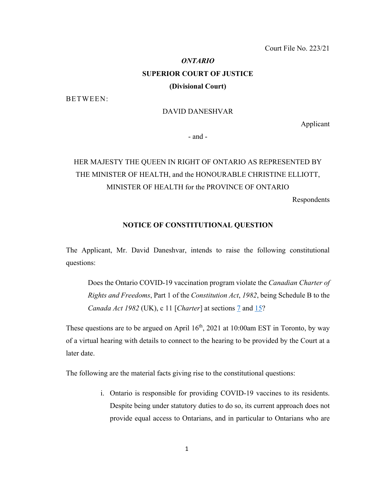## *ONTARIO* **SUPERIOR COURT OF JUSTICE (Divisional Court)**

BETWEEN:

### DAVID DANESHVAR

Applicant

- and -

# HER MAJESTY THE QUEEN IN RIGHT OF ONTARIO AS REPRESENTED BY THE MINISTER OF HEALTH, and the HONOURABLE CHRISTINE ELLIOTT, MINISTER OF HEALTH for the PROVINCE OF ONTARIO

Respondents

#### **NOTICE OF CONSTITUTIONAL QUESTION**

The Applicant, Mr. David Daneshvar, intends to raise the following constitutional questions:

Does the Ontario COVID-19 vaccination program violate the *Canadian Charter of Rights and Freedoms*, Part 1 of the *Constitution Act*, *1982*, being Schedule B to the *Canada Act 1982* (UK), c 11 [*Charter*] at sections [7](https://canlii.ca/t/8q7l#sec7) and [15?](https://canlii.ca/t/8q7l#sec15)

These questions are to be argued on April  $16<sup>th</sup>$ , 2021 at 10:00am EST in Toronto, by way of a virtual hearing with details to connect to the hearing to be provided by the Court at a later date.

The following are the material facts giving rise to the constitutional questions:

i. Ontario is responsible for providing COVID-19 vaccines to its residents. Despite being under statutory duties to do so, its current approach does not provide equal access to Ontarians, and in particular to Ontarians who are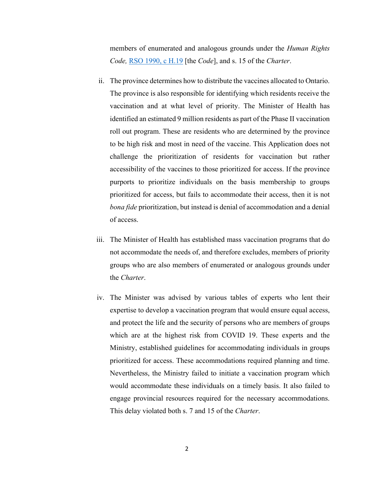members of enumerated and analogous grounds under the *Human Rights Code,* [RSO 1990, c H.19](https://www.canlii.org/en/on/laws/stat/rso-1990-c-h19/latest/rso-1990-c-h19.html?autocompleteStr=human%20rights%20code&autocompletePos=1) [the *Code*], and s. 15 of the *Charter*.

- ii. The province determines how to distribute the vaccines allocated to Ontario. The province is also responsible for identifying which residents receive the vaccination and at what level of priority. The Minister of Health has identified an estimated 9 million residents as part of the Phase II vaccination roll out program. These are residents who are determined by the province to be high risk and most in need of the vaccine. This Application does not challenge the prioritization of residents for vaccination but rather accessibility of the vaccines to those prioritized for access. If the province purports to prioritize individuals on the basis membership to groups prioritized for access, but fails to accommodate their access, then it is not *bona fide* prioritization, but instead is denial of accommodation and a denial of access.
- iii. The Minister of Health has established mass vaccination programs that do not accommodate the needs of, and therefore excludes, members of priority groups who are also members of enumerated or analogous grounds under the *Charter*.
- iv. The Minister was advised by various tables of experts who lent their expertise to develop a vaccination program that would ensure equal access, and protect the life and the security of persons who are members of groups which are at the highest risk from COVID 19. These experts and the Ministry, established guidelines for accommodating individuals in groups prioritized for access. These accommodations required planning and time. Nevertheless, the Ministry failed to initiate a vaccination program which would accommodate these individuals on a timely basis. It also failed to engage provincial resources required for the necessary accommodations. This delay violated both s. 7 and 15 of the *Charter*.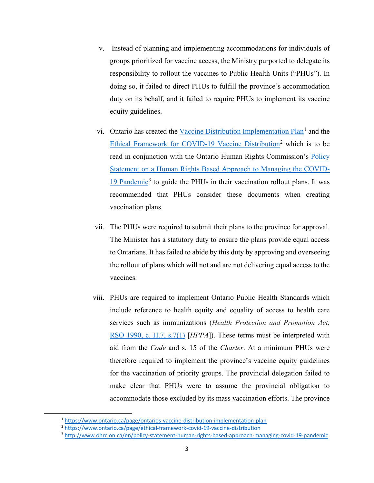- v. Instead of planning and implementing accommodations for individuals of groups prioritized for vaccine access, the Ministry purported to delegate its responsibility to rollout the vaccines to Public Health Units ("PHUs"). In doing so, it failed to direct PHUs to fulfill the province's accommodation duty on its behalf, and it failed to require PHUs to implement its vaccine equity guidelines.
- vi. Ontario has created the [Vaccine Distribution Implementation Plan](https://www.ontario.ca/page/ontarios-vaccine-distribution-implementation-plan)<sup>[1](#page-2-0)</sup> and the [Ethical Framework for COVID-19 Vaccine Distribution](https://www.ontario.ca/page/ethical-framework-covid-19-vaccine-distribution)<sup>[2](#page-2-1)</sup> which is to be read in conjunction with the Ontario Human Rights Commission's [Policy](http://www.ohrc.on.ca/en/policy-statement-human-rights-based-approach-managing-covid-19-pandemic)  Statement on a Human Rights [Based Approach to Managing the COVID-](http://www.ohrc.on.ca/en/policy-statement-human-rights-based-approach-managing-covid-19-pandemic)[19 Pandemic](http://www.ohrc.on.ca/en/policy-statement-human-rights-based-approach-managing-covid-19-pandemic)[3](#page-2-2) to guide the PHUs in their vaccination rollout plans. It was recommended that PHUs consider these documents when creating vaccination plans.
- vii. The PHUs were required to submit their plans to the province for approval. The Minister has a statutory duty to ensure the plans provide equal access to Ontarians. It has failed to abide by this duty by approving and overseeing the rollout of plans which will not and are not delivering equal access to the vaccines.
- viii. PHUs are required to implement Ontario Public Health Standards which include reference to health equity and equality of access to health care services such as immunizations (*Health Protection and Promotion Act*, [RSO 1990, c. H.7, s.7\(1\)](https://www.canlii.org/en/on/laws/stat/rso-1990-c-h7/latest/rso-1990-c-h7.html?autocompleteStr=RSO%201990%2C%20c.%20H.7&autocompletePos=1#sec7subsec1) [*HPPA*]). These terms must be interpreted with aid from the *Code* and s. 15 of the *Charter*. At a minimum PHUs were therefore required to implement the province's vaccine equity guidelines for the vaccination of priority groups. The provincial delegation failed to make clear that PHUs were to assume the provincial obligation to accommodate those excluded by its mass vaccination efforts. The province

<span id="page-2-0"></span> <sup>1</sup> <https://www.ontario.ca/page/ontarios-vaccine-distribution-implementation-plan>

<span id="page-2-1"></span><sup>2</sup> <https://www.ontario.ca/page/ethical-framework-covid-19-vaccine-distribution>

<span id="page-2-2"></span><sup>3</sup> <http://www.ohrc.on.ca/en/policy-statement-human-rights-based-approach-managing-covid-19-pandemic>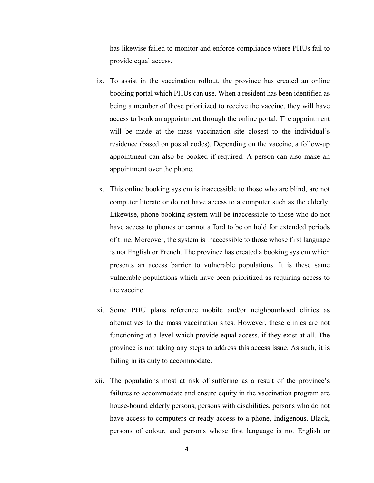has likewise failed to monitor and enforce compliance where PHUs fail to provide equal access.

- ix. To assist in the vaccination rollout, the province has created an online booking portal which PHUs can use. When a resident has been identified as being a member of those prioritized to receive the vaccine, they will have access to book an appointment through the online portal. The appointment will be made at the mass vaccination site closest to the individual's residence (based on postal codes). Depending on the vaccine, a follow-up appointment can also be booked if required. A person can also make an appointment over the phone.
- x. This online booking system is inaccessible to those who are blind, are not computer literate or do not have access to a computer such as the elderly. Likewise, phone booking system will be inaccessible to those who do not have access to phones or cannot afford to be on hold for extended periods of time. Moreover, the system is inaccessible to those whose first language is not English or French. The province has created a booking system which presents an access barrier to vulnerable populations. It is these same vulnerable populations which have been prioritized as requiring access to the vaccine.
- xi. Some PHU plans reference mobile and/or neighbourhood clinics as alternatives to the mass vaccination sites. However, these clinics are not functioning at a level which provide equal access, if they exist at all. The province is not taking any steps to address this access issue. As such, it is failing in its duty to accommodate.
- xii. The populations most at risk of suffering as a result of the province's failures to accommodate and ensure equity in the vaccination program are house-bound elderly persons, persons with disabilities, persons who do not have access to computers or ready access to a phone, Indigenous, Black, persons of colour, and persons whose first language is not English or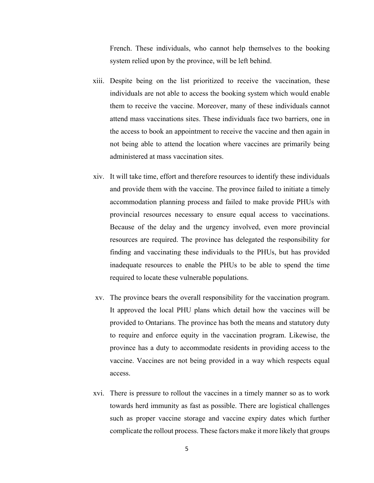French. These individuals, who cannot help themselves to the booking system relied upon by the province, will be left behind.

- xiii. Despite being on the list prioritized to receive the vaccination, these individuals are not able to access the booking system which would enable them to receive the vaccine. Moreover, many of these individuals cannot attend mass vaccinations sites. These individuals face two barriers, one in the access to book an appointment to receive the vaccine and then again in not being able to attend the location where vaccines are primarily being administered at mass vaccination sites.
- xiv. It will take time, effort and therefore resources to identify these individuals and provide them with the vaccine. The province failed to initiate a timely accommodation planning process and failed to make provide PHUs with provincial resources necessary to ensure equal access to vaccinations. Because of the delay and the urgency involved, even more provincial resources are required. The province has delegated the responsibility for finding and vaccinating these individuals to the PHUs, but has provided inadequate resources to enable the PHUs to be able to spend the time required to locate these vulnerable populations.
- xv. The province bears the overall responsibility for the vaccination program. It approved the local PHU plans which detail how the vaccines will be provided to Ontarians. The province has both the means and statutory duty to require and enforce equity in the vaccination program. Likewise, the province has a duty to accommodate residents in providing access to the vaccine. Vaccines are not being provided in a way which respects equal access.
- xvi. There is pressure to rollout the vaccines in a timely manner so as to work towards herd immunity as fast as possible. There are logistical challenges such as proper vaccine storage and vaccine expiry dates which further complicate the rollout process. These factors make it more likely that groups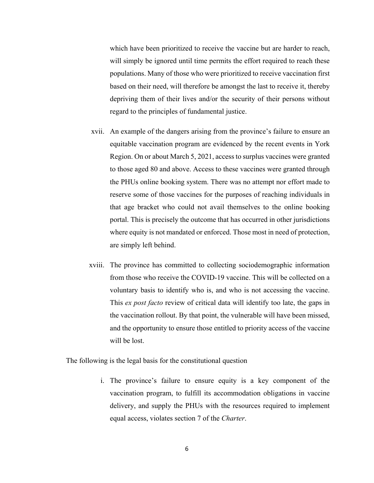which have been prioritized to receive the vaccine but are harder to reach, will simply be ignored until time permits the effort required to reach these populations. Many of those who were prioritized to receive vaccination first based on their need, will therefore be amongst the last to receive it, thereby depriving them of their lives and/or the security of their persons without regard to the principles of fundamental justice.

- xvii. An example of the dangers arising from the province's failure to ensure an equitable vaccination program are evidenced by the recent events in York Region. On or about March 5, 2021, access to surplus vaccines were granted to those aged 80 and above. Access to these vaccines were granted through the PHUs online booking system. There was no attempt nor effort made to reserve some of those vaccines for the purposes of reaching individuals in that age bracket who could not avail themselves to the online booking portal. This is precisely the outcome that has occurred in other jurisdictions where equity is not mandated or enforced. Those most in need of protection, are simply left behind.
- xviii. The province has committed to collecting sociodemographic information from those who receive the COVID-19 vaccine. This will be collected on a voluntary basis to identify who is, and who is not accessing the vaccine. This *ex post facto* review of critical data will identify too late, the gaps in the vaccination rollout. By that point, the vulnerable will have been missed, and the opportunity to ensure those entitled to priority access of the vaccine will be lost.

The following is the legal basis for the constitutional question

i. The province's failure to ensure equity is a key component of the vaccination program, to fulfill its accommodation obligations in vaccine delivery, and supply the PHUs with the resources required to implement equal access, violates section 7 of the *Charter*.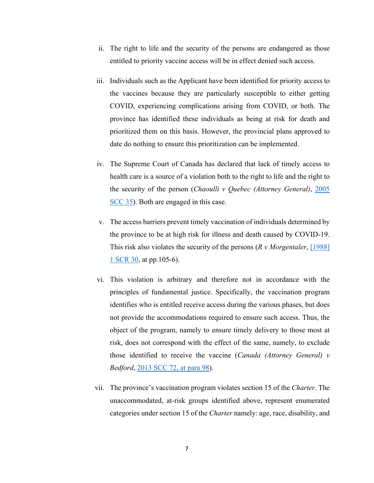- ii. The right to life and the security of the persons are endangered as those entitled to priority vaccine access will be in effect denied such access.
- iii. Individuals such as the Applicant have been identified for priority access to the vaccines because they are particularly susceptible to either getting COVID, experiencing complications arising from COVID, or both. The province has identified these individuals as being at risk for death and prioritized them on this basis. However, the provincial plans approved to date do nothing to ensure this prioritization can be implemented.
- iv. The Supreme Court of Canada has declared that lack of timely access to health care is a source of a violation both to the right to life and the right to the security of the person (*Chaoulli v Quebec (Attorney General)*, [2005](https://www.canlii.org/en/ca/scc/doc/2005/2005scc35/2005scc35.html?autocompleteStr=2005%20SCC%2035&autocompletePos=1)  [SCC 35\)](https://www.canlii.org/en/ca/scc/doc/2005/2005scc35/2005scc35.html?autocompleteStr=2005%20SCC%2035&autocompletePos=1). Both are engaged in this case.
- v. The access barriers prevent timely vaccination of individuals determined by the province to be at high risk for illness and death caused by COVID-19. This risk also violates the security of the persons (*R v Morgentaler*, [\[1988\]](https://www.canlii.org/en/ca/scc/doc/1988/1988canlii90/1988canlii90.html?autocompleteStr=%5B1988%5D%201%20SCR%2030&autocompletePos=1)  [1 SCR 30,](https://www.canlii.org/en/ca/scc/doc/1988/1988canlii90/1988canlii90.html?autocompleteStr=%5B1988%5D%201%20SCR%2030&autocompletePos=1) at pp.105-6).
- vi. This violation is arbitrary and therefore not in accordance with the principles of fundamental justice. Specifically, the vaccination program identifies who is entitled receive access during the various phases, but does not provide the accommodations required to ensure such access. Thus, the object of the program, namely to ensure timely delivery to those most at risk, does not correspond with the effect of the same, namely, to exclude those identified to receive the vaccine (*Canada (Attorney General) v Bedford*, [2013 SCC 72, at para 98\)](https://www.canlii.org/en/ca/scc/doc/2013/2013scc72/2013scc72.html?autocompleteStr=2013%20scc%2072&autocompletePos=1#par98).
- vii. The province's vaccination program violates section 15 of the *Charter*. The unaccommodated, at-risk groups identified above, represent enumerated categories under section 15 of the *Charter* namely: age, race, disability, and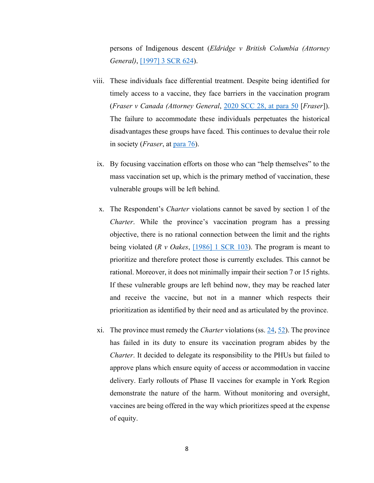persons of Indigenous descent (*Eldridge v British Columbia (Attorney General)*, [\[1997\] 3 SCR 624\)](https://www.canlii.org/en/ca/scc/doc/1997/1997canlii327/1997canlii327.html?autocompleteStr=%5B1997%5D%203%20SCR%20624&autocompletePos=1).

- viii. These individuals face differential treatment. Despite being identified for timely access to a vaccine, they face barriers in the vaccination program (*Fraser v Canada (Attorney General*, [2020 SCC 28, at para 50](https://www.canlii.org/en/ca/scc/doc/2020/2020scc28/2020scc28.html?autocompleteStr=2020%20scc%2028&autocompletePos=1#par50) [*Fraser*]). The failure to accommodate these individuals perpetuates the historical disadvantages these groups have faced. This continues to devalue their role in society (*Fraser*, at [para 76\)](https://www.canlii.org/en/ca/scc/doc/2020/2020scc28/2020scc28.html?autocompleteStr=2020%20scc%2028&autocompletePos=1#par76).
	- ix. By focusing vaccination efforts on those who can "help themselves" to the mass vaccination set up, which is the primary method of vaccination, these vulnerable groups will be left behind.
	- x. The Respondent's *Charter* violations cannot be saved by section 1 of the *Charter*. While the province's vaccination program has a pressing objective, there is no rational connection between the limit and the rights being violated (*R v Oakes*, [\[1986\] 1 SCR 103\)](https://www.canlii.org/en/ca/scc/doc/1986/1986canlii46/1986canlii46.html?autocompleteStr=%5B1986%5D%201%20SCR%20103&autocompletePos=1). The program is meant to prioritize and therefore protect those is currently excludes. This cannot be rational. Moreover, it does not minimally impair their section 7 or 15 rights. If these vulnerable groups are left behind now, they may be reached later and receive the vaccine, but not in a manner which respects their prioritization as identified by their need and as articulated by the province.
- xi. The province must remedy the *Charter* violations (ss. [24,](https://canlii.ca/t/8q7l#sec24) [52\)](https://canlii.ca/t/8q7l#sec52). The province has failed in its duty to ensure its vaccination program abides by the *Charter*. It decided to delegate its responsibility to the PHUs but failed to approve plans which ensure equity of access or accommodation in vaccine delivery. Early rollouts of Phase II vaccines for example in York Region demonstrate the nature of the harm. Without monitoring and oversight, vaccines are being offered in the way which prioritizes speed at the expense of equity.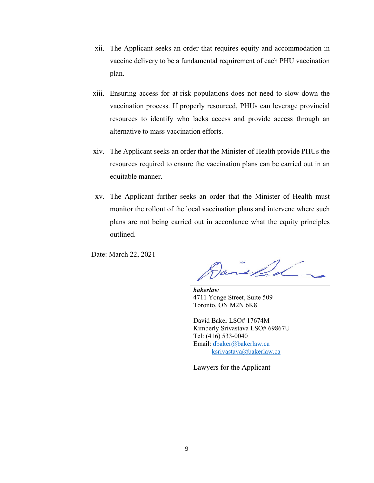- xii. The Applicant seeks an order that requires equity and accommodation in vaccine delivery to be a fundamental requirement of each PHU vaccination plan.
- xiii. Ensuring access for at-risk populations does not need to slow down the vaccination process. If properly resourced, PHUs can leverage provincial resources to identify who lacks access and provide access through an alternative to mass vaccination efforts.
- xiv. The Applicant seeks an order that the Minister of Health provide PHUs the resources required to ensure the vaccination plans can be carried out in an equitable manner.
- xv. The Applicant further seeks an order that the Minister of Health must monitor the rollout of the local vaccination plans and intervene where such plans are not being carried out in accordance what the equity principles outlined.

Date: March 22, 2021

*bakerlaw* 4711 Yonge Street, Suite 509 Toronto, ON M2N 6K8

David Baker LSO# 17674M Kimberly Srivastava LSO# 69867U Tel: (416) 533-0040 Email: [dbaker@bakerlaw.ca](mailto:dbaker@bakerlaw.ca) [ksrivastava@bakerlaw.ca](mailto:ksrivastava@bakerlaw.ca) 

Lawyers for the Applicant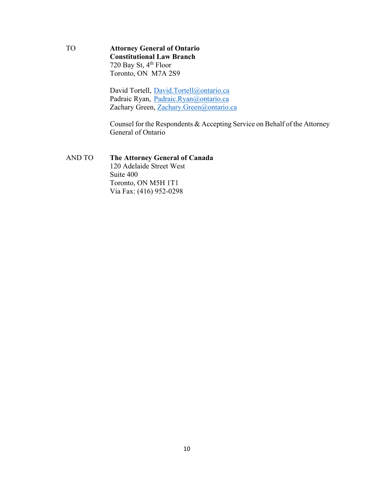TO **Attorney General of Ontario Constitutional Law Branch** 720 Bay St, 4<sup>th</sup> Floor Toronto, ON M7A 2S9

> David Tortell, [David.Tortell@ontario.ca](mailto:David.Tortell@ontario.ca) Padraic Ryan, [Padraic.Ryan@ontario.ca](mailto:Padraic.Ryan@ontario.ca) Zachary Green, [Zachary.Green@ontario.ca](mailto:Zachary.Green@ontario.ca)

Counsel for the Respondents & Accepting Service on Behalf of the Attorney General of Ontario

AND TO **The Attorney General of Canada** 120 Adelaide Street West Suite 400 Toronto, ON M5H 1T1 Via Fax: (416) 952-0298